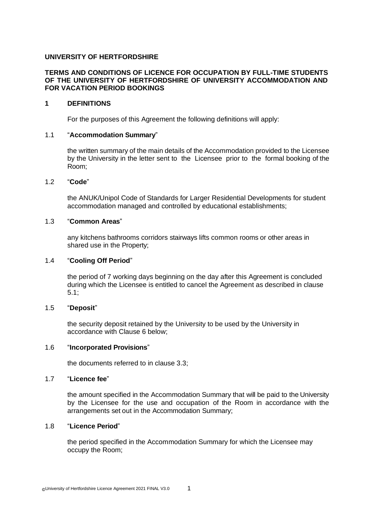# **UNIVERSITY OF HERTFORDSHIRE**

## **TERMS AND CONDITIONS OF LICENCE FOR OCCUPATION BY FULL-TIME STUDENTS OF THE UNIVERSITY OF HERTFORDSHIRE OF UNIVERSITY ACCOMMODATION AND FOR VACATION PERIOD BOOKINGS**

## **1 DEFINITIONS**

For the purposes of this Agreement the following definitions will apply:

## 1.1 "**Accommodation Summary**"

the written summary of the main details of the Accommodation provided to the Licensee by the University in the letter sent to the Licensee prior to the formal booking of the Room;

### 1.2 "**Code**"

the ANUK/Unipol Code of Standards for Larger Residential Developments for student accommodation managed and controlled by educational establishments;

## 1.3 "**Common Areas**"

any kitchens bathrooms corridors stairways lifts common rooms or other areas in shared use in the Property;

## 1.4 "**Cooling Off Period**"

the period of 7 working days beginning on the day after this Agreement is concluded during which the Licensee is entitled to cancel the Agreement as described in clause 5.1;

### 1.5 "**Deposit**"

the security deposit retained by the University to be used by the University in accordance with Clause 6 below;

### 1.6 "**Incorporated Provisions**"

the documents referred to in clause 3.3;

## 1.7 "**Licence fee**"

the amount specified in the Accommodation Summary that will be paid to the University by the Licensee for the use and occupation of the Room in accordance with the arrangements set out in the Accommodation Summary;

## 1.8 "**Licence Period**"

the period specified in the Accommodation Summary for which the Licensee may occupy the Room;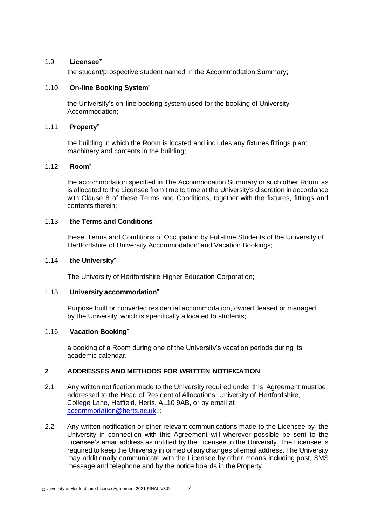# 1.9 "**Licensee"**

the student/prospective student named in the Accommodation Summary;

# 1.10 "**On-line Booking System**"

the University's on-line booking system used for the booking of University Accommodation;

## 1.11 "**Property**"

the building in which the Room is located and includes any fixtures fittings plant machinery and contents in the building;

# 1.12 "**Room**"

the accommodation specified in The Accommodation Summary or such other Room as is allocated to the Licensee from time to time at the University's discretion in accordance with Clause 8 of these Terms and Conditions, together with the fixtures, fittings and contents therein;

# 1.13 "**the Terms and Conditions**"

these 'Terms and Conditions of Occupation by Full-time Students of the University of Hertfordshire of University Accommodation' and Vacation Bookings;

# 1.14 "**the University**"

The University of Hertfordshire Higher Education Corporation;

### 1.15 "**University accommodation**"

Purpose built or converted residential accommodation, owned, leased or managed by the University, which is specifically allocated to students;

### 1.16 "**Vacation Booking**"

a booking of a Room during one of the University's vacation periods during its academic calendar.

# **2 ADDRESSES AND METHODS FOR WRITTEN NOTIFICATION**

- 2.1 Any written notification made to the University required under this Agreement must be addressed to the Head of Residential Allocations, University of Hertfordshire, College Lane, Hatfield, Herts. AL10 9AB, or by email at [accommodation@herts.ac.uk. ;](mailto:accommodation@herts.ac.uk)
- 2.2 Any written notification or other relevant communications made to the Licensee by the University in connection with this Agreement will wherever possible be sent to the Licensee's email address as notified by the Licensee to the University. The Licensee is required to keep the University informed of any changes of email address. The University may additionally communicate with the Licensee by other means including post, SMS message and telephone and by the notice boards in the Property.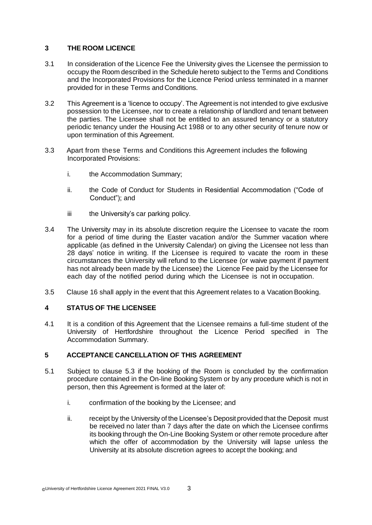# **3 THE ROOM LICENCE**

- 3.1 In consideration of the Licence Fee the University gives the Licensee the permission to occupy the Room described in the Schedule hereto subject to the Terms and Conditions and the Incorporated Provisions for the Licence Period unless terminated in a manner provided for in these Terms and Conditions.
- 3.2 This Agreement is a 'licence to occupy'. The Agreement is not intended to give exclusive possession to the Licensee, nor to create a relationship of landlord and tenant between the parties. The Licensee shall not be entitled to an assured tenancy or a statutory periodic tenancy under the Housing Act 1988 or to any other security of tenure now or upon termination of this Agreement.
- 3.3 Apart from these Terms and Conditions this Agreement includes the following Incorporated Provisions:
	- i. the Accommodation Summary;
	- ii. the Code of Conduct for Students in Residential Accommodation ("Code of Conduct"); and
	- iii the University's car parking policy.
- 3.4 The University may in its absolute discretion require the Licensee to vacate the room for a period of time during the Easter vacation and/or the Summer vacation where applicable (as defined in the University Calendar) on giving the Licensee not less than 28 days' notice in writing. If the Licensee is required to vacate the room in these circumstances the University will refund to the Licensee (or waive payment if payment has not already been made by the Licensee) the Licence Fee paid by the Licensee for each day of the notified period during which the Licensee is not in occupation.
- 3.5 Clause 16 shall apply in the event that this Agreement relates to a Vacation Booking.

# **4 STATUS OF THE LICENSEE**

4.1 It is a condition of this Agreement that the Licensee remains a full-time student of the University of Hertfordshire throughout the Licence Period specified in The Accommodation Summary.

# **5 ACCEPTANCE CANCELLATION OF THIS AGREEMENT**

- 5.1 Subject to clause 5.3 if the booking of the Room is concluded by the confirmation procedure contained in the On-line Booking System or by any procedure which is not in person, then this Agreement is formed at the later of:
	- i. confirmation of the booking by the Licensee; and
	- ii. receipt by the University of the Licensee's Deposit provided that the Deposit must be received no later than 7 days after the date on which the Licensee confirms its booking through the On-Line Booking System or other remote procedure after which the offer of accommodation by the University will lapse unless the University at its absolute discretion agrees to accept the booking; and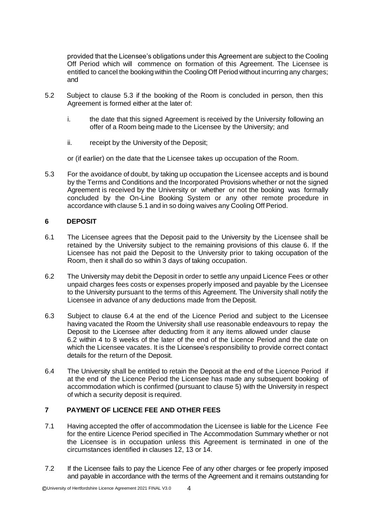provided that the Licensee's obligations under this Agreement are subject to the Cooling Off Period which will commence on formation of this Agreement. The Licensee is entitled to cancel the booking within the Cooling Off Period without incurring any charges; and

- 5.2 Subject to clause 5.3 if the booking of the Room is concluded in person, then this Agreement is formed either at the later of:
	- i. the date that this signed Agreement is received by the University following an offer of a Room being made to the Licensee by the University; and
	- ii. receipt by the University of the Deposit;

or (if earlier) on the date that the Licensee takes up occupation of the Room.

5.3 For the avoidance of doubt, by taking up occupation the Licensee accepts and is bound by the Terms and Conditions and the Incorporated Provisions whether or not the signed Agreement is received by the University or whether or not the booking was formally concluded by the On-Line Booking System or any other remote procedure in accordance with clause 5.1 and in so doing waives any Cooling Off Period.

# **6 DEPOSIT**

- 6.1 The Licensee agrees that the Deposit paid to the University by the Licensee shall be retained by the University subject to the remaining provisions of this clause 6. If the Licensee has not paid the Deposit to the University prior to taking occupation of the Room, then it shall do so within 3 days of taking occupation.
- 6.2 The University may debit the Deposit in order to settle any unpaid Licence Fees or other unpaid charges fees costs or expenses properly imposed and payable by the Licensee to the University pursuant to the terms of this Agreement. The University shall notify the Licensee in advance of any deductions made from the Deposit.
- 6.3 Subject to clause 6.4 at the end of the Licence Period and subject to the Licensee having vacated the Room the University shall use reasonable endeavours to repay the Deposit to the Licensee after deducting from it any items allowed under clause 6.2 within 4 to 8 weeks of the later of the end of the Licence Period and the date on which the Licensee vacates. It is the Licensee's responsibility to provide correct contact details for the return of the Deposit.
- 6.4 The University shall be entitled to retain the Deposit at the end of the Licence Period if at the end of the Licence Period the Licensee has made any subsequent booking of accommodation which is confirmed (pursuant to clause 5) with the University in respect of which a security deposit is required.

# **7 PAYMENT OF LICENCE FEE AND OTHER FEES**

- 7.1 Having accepted the offer of accommodation the Licensee is liable for the Licence Fee for the entire Licence Period specified in The Accommodation Summary whether or not the Licensee is in occupation unless this Agreement is terminated in one of the circumstances identified in clauses 12, 13 or 14.
- 7.2 If the Licensee fails to pay the Licence Fee of any other charges or fee properly imposed and payable in accordance with the terms of the Agreement and it remains outstanding for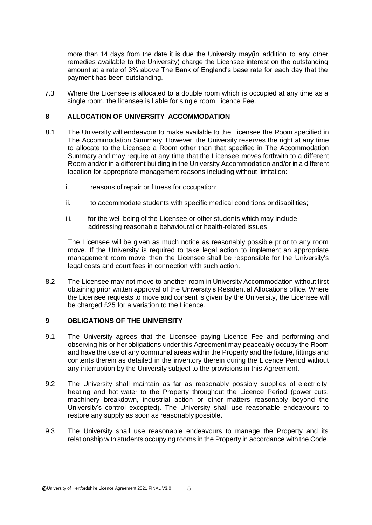more than 14 days from the date it is due the University may(in addition to any other remedies available to the University) charge the Licensee interest on the outstanding amount at a rate of 3% above The Bank of England's base rate for each day that the payment has been outstanding.

7.3 Where the Licensee is allocated to a double room which is occupied at any time as a single room, the licensee is liable for single room Licence Fee.

# **8 ALLOCATION OF UNIVERSITY ACCOMMODATION**

- 8.1 The University will endeavour to make available to the Licensee the Room specified in The Accommodation Summary. However, the University reserves the right at any time to allocate to the Licensee a Room other than that specified in The Accommodation Summary and may require at any time that the Licensee moves forthwith to a different Room and/or in a different building in the University Accommodation and/or in a different location for appropriate management reasons including without limitation:
	- i. reasons of repair or fitness for occupation;
	- ii. to accommodate students with specific medical conditions or disabilities;
	- iii. for the well-being of the Licensee or other students which may include addressing reasonable behavioural or health-related issues.

The Licensee will be given as much notice as reasonably possible prior to any room move. If the University is required to take legal action to implement an appropriate management room move, then the Licensee shall be responsible for the University's legal costs and court fees in connection with such action.

8.2 The Licensee may not move to another room in University Accommodation without first obtaining prior written approval of the University's Residential Allocations office. Where the Licensee requests to move and consent is given by the University, the Licensee will be charged £25 for a variation to the Licence.

### **9 OBLIGATIONS OF THE UNIVERSITY**

- 9.1 The University agrees that the Licensee paying Licence Fee and performing and observing his or her obligations under this Agreement may peaceably occupy the Room and have the use of any communal areas within the Property and the fixture, fittings and contents therein as detailed in the inventory therein during the Licence Period without any interruption by the University subject to the provisions in this Agreement.
- 9.2 The University shall maintain as far as reasonably possibly supplies of electricity, heating and hot water to the Property throughout the Licence Period (power cuts, machinery breakdown, industrial action or other matters reasonably beyond the University's control excepted). The University shall use reasonable endeavours to restore any supply as soon as reasonably possible.
- 9.3 The University shall use reasonable endeavours to manage the Property and its relationship with students occupying rooms in the Property in accordance with the Code.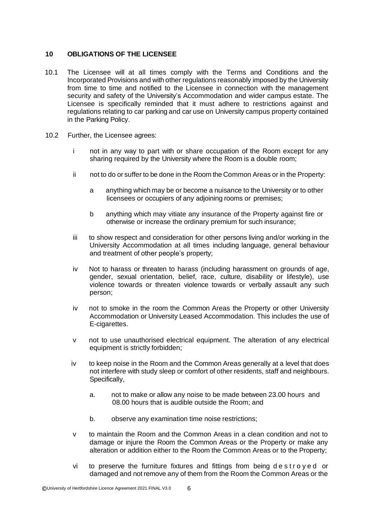# **10 OBLIGATIONS OF THE LICENSEE**

- 10.1 The Licensee will at all times comply with the Terms and Conditions and the Incorporated Provisions and with other regulations reasonably imposed by the University from time to time and notified to the Licensee in connection with the management security and safety of the University's Accommodation and wider campus estate. The Licensee is specifically reminded that it must adhere to restrictions against and regulations relating to car parking and car use on University campus property contained in the Parking Policy.
- 10.2 Further, the Licensee agrees:
	- i not in any way to part with or share occupation of the Room except for any sharing required by the University where the Room is a double room;
	- ii not to do or suffer to be done in the Room the Common Areas or in the Property:
		- a anything which may be or become a nuisance to the University or to other licensees or occupiers of any adjoining rooms or premises;
		- b anything which may vitiate any insurance of the Property against fire or otherwise or increase the ordinary premium for such insurance;
	- iii to show respect and consideration for other persons living and/or working in the University Accommodation at all times including language, general behaviour and treatment of other people's property;
	- iv Not to harass or threaten to harass (including harassment on grounds of age, gender, sexual orientation, belief, race, culture, disability or lifestyle), use violence towards or threaten violence towards or verbally assault any such person;
	- iv not to smoke in the room the Common Areas the Property or other University Accommodation or University Leased Accommodation. This includes the use of E-cigarettes.
	- v not to use unauthorised electrical equipment. The alteration of any electrical equipment is strictly forbidden;
	- iv to keep noise in the Room and the Common Areas generally at a level that does not interfere with study sleep or comfort of other residents, staff and neighbours. Specifically,
		- a. not to make or allow any noise to be made between 23.00 hours and 08.00 hours that is audible outside the Room; and
		- b. observe any examination time noise restrictions;
	- v to maintain the Room and the Common Areas in a clean condition and not to damage or injure the Room the Common Areas or the Property or make any alteration or addition either to the Room the Common Areas or to the Property;
	- vi to preserve the furniture fixtures and fittings from being destroyed or damaged and not remove any of them from the Room the Common Areas or the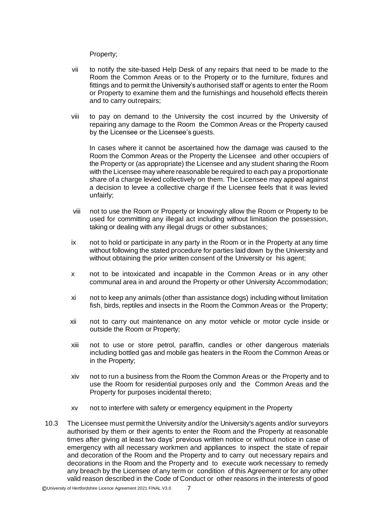Property;

- vii to notify the site-based Help Desk of any repairs that need to be made to the Room the Common Areas or to the Property or to the furniture, fixtures and fittings and to permit the University's authorised staff or agents to enter the Room or Property to examine them and the furnishings and household effects therein and to carry outrepairs;
- viii to pay on demand to the University the cost incurred by the University of repairing any damage to the Room the Common Areas or the Property caused by the Licensee or the Licensee's guests.

In cases where it cannot be ascertained how the damage was caused to the Room the Common Areas or the Property the Licensee and other occupiers of the Property or (as appropriate) the Licensee and any student sharing the Room with the Licensee may where reasonable be required to each pay a proportionate share of a charge levied collectively on them. The Licensee may appeal against a decision to levee a collective charge if the Licensee feels that it was levied unfairly;

- viii not to use the Room or Property or knowingly allow the Room or Property to be used for committing any illegal act including without limitation the possession, taking or dealing with any illegal drugs or other substances;
- ix not to hold or participate in any party in the Room or in the Property at any time without following the stated procedure for parties laid down by the University and without obtaining the prior written consent of the University or his agent;
- x not to be intoxicated and incapable in the Common Areas or in any other communal area in and around the Property or other University Accommodation;
- xi not to keep any animals (other than assistance dogs) including without limitation fish, birds, reptiles and insects in the Room the Common Areas or the Property;
- xii not to carry out maintenance on any motor vehicle or motor cycle inside or outside the Room or Property;
- xiii not to use or store petrol, paraffin, candles or other dangerous materials including bottled gas and mobile gas heaters in the Room the Common Areas or in the Property;
- xiv not to run a business from the Room the Common Areas or the Property and to use the Room for residential purposes only and the Common Areas and the Property for purposes incidental thereto;
- xv not to interfere with safety or emergency equipment in the Property
- 10.3 The Licensee must permit the University and/or the University's agents and/or surveyors authorised by them or their agents to enter the Room and the Property at reasonable times after giving at least two days' previous written notice or without notice in case of emergency with all necessary workmen and appliances to inspect the state of repair and decoration of the Room and the Property and to carry out necessary repairs and decorations in the Room and the Property and to execute work necessary to remedy any breach by the Licensee of any term or condition of this Agreement or for any other valid reason described in the Code of Conduct or other reasons in the interests of good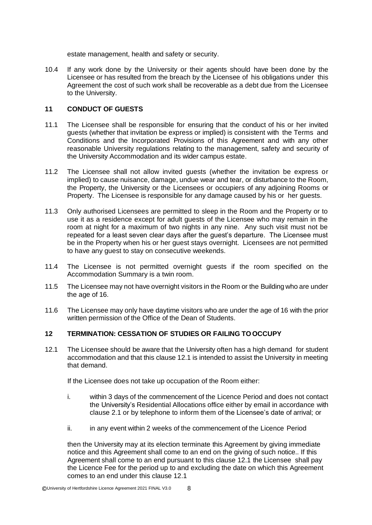estate management, health and safety or security.

10.4 If any work done by the University or their agents should have been done by the Licensee or has resulted from the breach by the Licensee of his obligations under this Agreement the cost of such work shall be recoverable as a debt due from the Licensee to the University.

# **11 CONDUCT OF GUESTS**

- 11.1 The Licensee shall be responsible for ensuring that the conduct of his or her invited guests (whether that invitation be express or implied) is consistent with the Terms and Conditions and the Incorporated Provisions of this Agreement and with any other reasonable University regulations relating to the management, safety and security of the University Accommodation and its wider campus estate.
- 11.2 The Licensee shall not allow invited guests (whether the invitation be express or implied) to cause nuisance, damage, undue wear and tear, or disturbance to the Room, the Property, the University or the Licensees or occupiers of any adjoining Rooms or Property. The Licensee is responsible for any damage caused by his or her guests.
- 11.3 Only authorised Licensees are permitted to sleep in the Room and the Property or to use it as a residence except for adult guests of the Licensee who may remain in the room at night for a maximum of two nights in any nine. Any such visit must not be repeated for a least seven clear days after the guest's departure. The Licensee must be in the Property when his or her guest stays overnight. Licensees are not permitted to have any guest to stay on consecutive weekends.
- 11.4 The Licensee is not permitted overnight guests if the room specified on the Accommodation Summary is a twin room.
- 11.5 The Licensee may not have overnight visitors in the Room or the Building who are under the age of 16.
- 11.6 The Licensee may only have daytime visitors who are under the age of 16 with the prior written permission of the Office of the Dean of Students.

# **12 TERMINATION: CESSATION OF STUDIES OR FAILING TOOCCUPY**

12.1 The Licensee should be aware that the University often has a high demand for student accommodation and that this clause 12.1 is intended to assist the University in meeting that demand.

If the Licensee does not take up occupation of the Room either:

- i. within 3 days of the commencement of the Licence Period and does not contact the University's Residential Allocations office either by email in accordance with clause 2.1 or by telephone to inform them of the Licensee's date of arrival; or
- ii. in any event within 2 weeks of the commencement of the Licence Period

then the University may at its election terminate this Agreement by giving immediate notice and this Agreement shall come to an end on the giving of such notice.. If this Agreement shall come to an end pursuant to this clause 12.1 the Licensee shall pay the Licence Fee for the period up to and excluding the date on which this Agreement comes to an end under this clause 12.1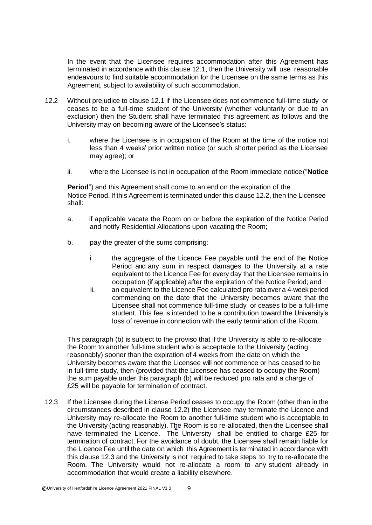In the event that the Licensee requires accommodation after this Agreement has terminated in accordance with this clause 12.1, then the University will use reasonable endeavours to find suitable accommodation for the Licensee on the same terms as this Agreement, subject to availability of such accommodation.

- 12.2 Without prejudice to clause 12.1 if the Licensee does not commence full-time study or ceases to be a full-time student of the University (whether voluntarily or due to an exclusion) then the Student shall have terminated this agreement as follows and the University may on becoming aware of the Licensee's status:
	- i. where the Licensee is in occupation of the Room at the time of the notice not less than 4 weeks' prior written notice (or such shorter period as the Licensee may agree); or
	- ii. where the Licensee is not in occupation of the Room immediate notice("**Notice**

**Period**") and this Agreement shall come to an end on the expiration of the Notice Period. If this Agreement is terminated under this clause 12.2, then the Licensee shall:

- a. if applicable vacate the Room on or before the expiration of the Notice Period and notify Residential Allocations upon vacating the Room;
- b. pay the greater of the sums comprising:
	- i. the aggregate of the Licence Fee payable until the end of the Notice Period and any sum in respect damages to the University at a rate equivalent to the Licence Fee for every day that the Licensee remains in occupation (if applicable) after the expiration of the Notice Period; and
	- ii. an equivalent to the Licence Fee calculated pro rata over a 4-week period commencing on the date that the University becomes aware that the Licensee shall not commence full-time study or ceases to be a full-time student. This fee is intended to be a contribution toward the University's loss of revenue in connection with the early termination of the Room.

This paragraph (b) is subject to the proviso that if the University is able to re-allocate the Room to another full-time student who is acceptable to the University (acting reasonably) sooner than the expiration of 4 weeks from the date on which the University becomes aware that the Licensee will not commence or has ceased to be in full-time study, then (provided that the Licensee has ceased to occupy the Room) the sum payable under this paragraph (b) will be reduced pro rata and a charge of £25 will be payable for termination of contract.

12.3 If the Licensee during the License Period ceases to occupy the Room (other than in the circumstances described in clause 12.2) the Licensee may terminate the Licence and University may re-allocate the Room to another full-time student who is acceptable to the University (acting reasonably). The Room is so re-allocated, then the Licensee shall have terminated the Licence. The University shall be entitled to charge £25 for termination of contract. For the avoidance of doubt, the Licensee shall remain liable for the Licence Fee until the date on which this Agreement is terminated in accordance with this clause 12.3 and the University is not required to take steps to try to re-allocate the Room. The University would not re-allocate a room to any student already in accommodation that would create a liability elsewhere.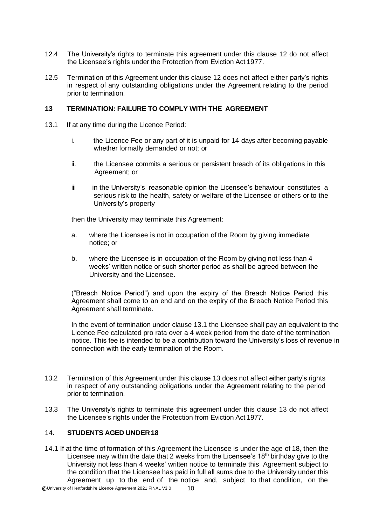- 12.4 The University's rights to terminate this agreement under this clause 12 do not affect the Licensee's rights under the Protection from Eviction Act 1977.
- 12.5 Termination of this Agreement under this clause 12 does not affect either party's rights in respect of any outstanding obligations under the Agreement relating to the period prior to termination.

## **13 TERMINATION: FAILURE TO COMPLY WITH THE AGREEMENT**

- 13.1 If at any time during the Licence Period:
	- i. the Licence Fee or any part of it is unpaid for 14 days after becoming payable whether formally demanded or not; or
	- ii. the Licensee commits a serious or persistent breach of its obligations in this Agreement; or
	- iii in the University's reasonable opinion the Licensee's behaviour constitutes a serious risk to the health, safety or welfare of the Licensee or others or to the University's property

then the University may terminate this Agreement:

- a. where the Licensee is not in occupation of the Room by giving immediate notice; or
- b. where the Licensee is in occupation of the Room by giving not less than 4 weeks' written notice or such shorter period as shall be agreed between the University and the Licensee.

("Breach Notice Period") and upon the expiry of the Breach Notice Period this Agreement shall come to an end and on the expiry of the Breach Notice Period this Agreement shall terminate.

In the event of termination under clause 13.1 the Licensee shall pay an equivalent to the Licence Fee calculated pro rata over a 4 week period from the date of the termination notice. This fee is intended to be a contribution toward the University's loss of revenue in connection with the early termination of the Room.

- 13.2 Termination of this Agreement under this clause 13 does not affect either party's rights in respect of any outstanding obligations under the Agreement relating to the period prior to termination.
- 13.3 The University's rights to terminate this agreement under this clause 13 do not affect the Licensee's rights under the Protection from Eviction Act 1977.

# 14. **STUDENTS AGED UNDER18**

14.1 If at the time of formation of this Agreement the Licensee is under the age of 18, then the Licensee may within the date that 2 weeks from the Licensee's 18<sup>th</sup> birthday give to the University not less than 4 weeks' written notice to terminate this Agreement subject to the condition that the Licensee has paid in full all sums due to the University under this Agreement up to the end of the notice and, subject to that condition, on the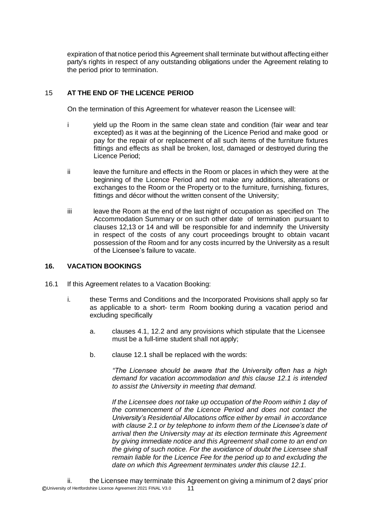expiration of that notice period this Agreement shall terminate but without affecting either party's rights in respect of any outstanding obligations under the Agreement relating to the period prior to termination.

# 15 **AT THE END OF THE LICENCE PERIOD**

On the termination of this Agreement for whatever reason the Licensee will:

- i yield up the Room in the same clean state and condition (fair wear and tear excepted) as it was at the beginning of the Licence Period and make good or pay for the repair of or replacement of all such items of the furniture fixtures fittings and effects as shall be broken, lost, damaged or destroyed during the Licence Period;
- ii leave the furniture and effects in the Room or places in which they were at the beginning of the Licence Period and not make any additions, alterations or exchanges to the Room or the Property or to the furniture, furnishing, fixtures, fittings and décor without the written consent of the University;
- iii leave the Room at the end of the last night of occupation as specified on The Accommodation Summary or on such other date of termination pursuant to clauses 12,13 or 14 and will be responsible for and indemnify the University in respect of the costs of any court proceedings brought to obtain vacant possession of the Room and for any costs incurred by the University as a result of the Licensee's failure to vacate.

## **16. VACATION BOOKINGS**

- 16.1 If this Agreement relates to a Vacation Booking:
	- i. these Terms and Conditions and the Incorporated Provisions shall apply so far as applicable to a short- term Room booking during a vacation period and excluding specifically
		- a. clauses 4.1, 12.2 and any provisions which stipulate that the Licensee must be a full-time student shall not apply;
		- b. clause 12.1 shall be replaced with the words:

*"The Licensee should be aware that the University often has a high demand for vacation accommodation and this clause 12.1 is intended to assist the University in meeting that demand.*

*If the Licensee does not take up occupation of the Room within 1 day of the commencement of the Licence Period and does not contact the University's Residential Allocations office either by email in accordance with clause 2.1 or by telephone to inform them of the Licensee's date of arrival then the University may at its election terminate this Agreement by giving immediate notice and this Agreement shall come to an end on the giving of such notice. For the avoidance of doubt the Licensee shall remain liable for the Licence Fee for the period up to and excluding the date on which this Agreement terminates under this clause 12.1.*